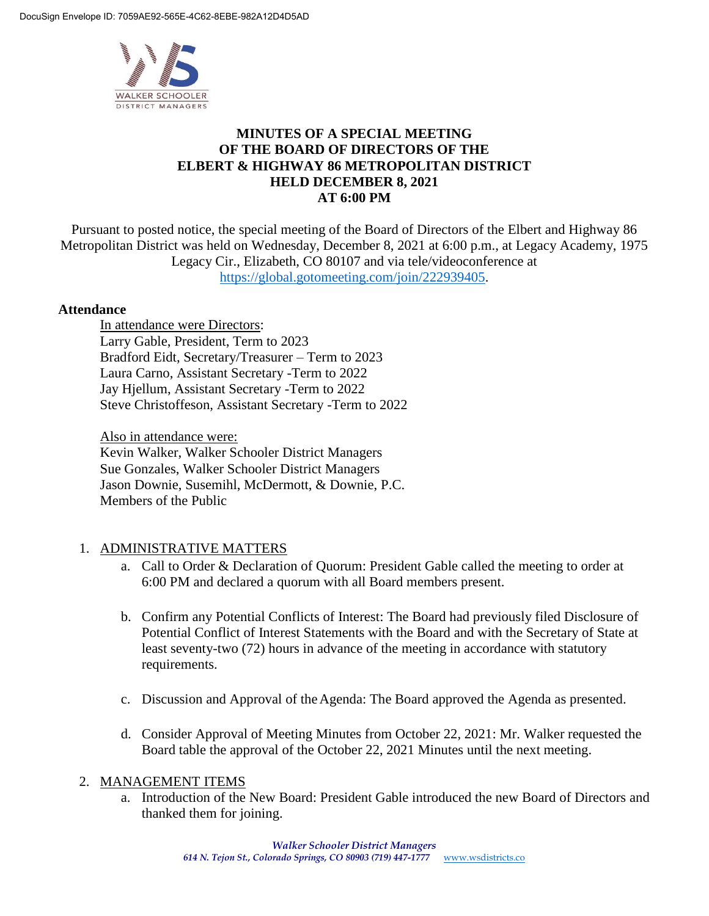

# **MINUTES OF A SPECIAL MEETING OF THE BOARD OF DIRECTORS OF THE ELBERT & HIGHWAY 86 METROPOLITAN DISTRICT HELD DECEMBER 8, 2021 AT 6:00 PM**

Pursuant to posted notice, the special meeting of the Board of Directors of the Elbert and Highway 86 Metropolitan District was held on Wednesday, December 8, 2021 at 6:00 p.m., at Legacy Academy, 1975 Legacy Cir., Elizabeth, CO 80107 and via tele/videoconference at https://global.gotomeeting.com/join/222939405.

### **Attendance**

In attendance were Directors: Larry Gable, President, Term to 2023 Bradford Eidt, Secretary/Treasurer – Term to 2023 Laura Carno, Assistant Secretary -Term to 2022 Jay Hjellum, Assistant Secretary -Term to 2022 Steve Christoffeson, Assistant Secretary -Term to 2022

Also in attendance were: Kevin Walker, Walker Schooler District Managers Sue Gonzales, Walker Schooler District Managers

Jason Downie, Susemihl, McDermott, & Downie, P.C. Members of the Public

# 1. ADMINISTRATIVE MATTERS

- a. Call to Order & Declaration of Quorum: President Gable called the meeting to order at 6:00 PM and declared a quorum with all Board members present.
- b. Confirm any Potential Conflicts of Interest: The Board had previously filed Disclosure of Potential Conflict of Interest Statements with the Board and with the Secretary of State at least seventy-two (72) hours in advance of the meeting in accordance with statutory requirements.
- c. Discussion and Approval of theAgenda: The Board approved the Agenda as presented.
- d. Consider Approval of Meeting Minutes from October 22, 2021: Mr. Walker requested the Board table the approval of the October 22, 2021 Minutes until the next meeting.

### 2. MANAGEMENT ITEMS

a. Introduction of the New Board: President Gable introduced the new Board of Directors and thanked them for joining.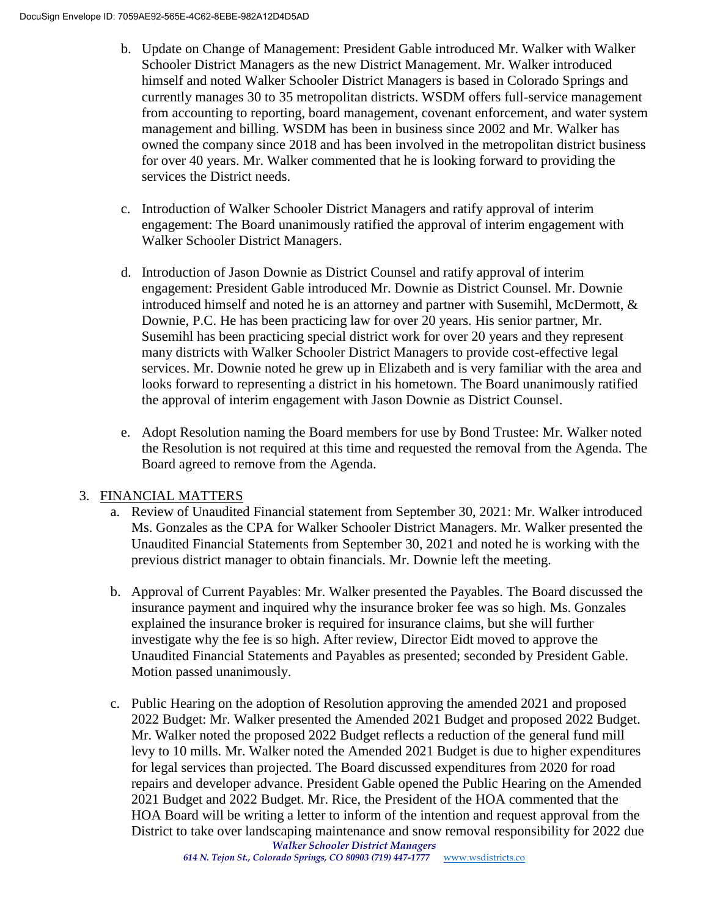- b. Update on Change of Management: President Gable introduced Mr. Walker with Walker Schooler District Managers as the new District Management. Mr. Walker introduced himself and noted Walker Schooler District Managers is based in Colorado Springs and currently manages 30 to 35 metropolitan districts. WSDM offers full-service management from accounting to reporting, board management, covenant enforcement, and water system management and billing. WSDM has been in business since 2002 and Mr. Walker has owned the company since 2018 and has been involved in the metropolitan district business for over 40 years. Mr. Walker commented that he is looking forward to providing the services the District needs.
- c. Introduction of Walker Schooler District Managers and ratify approval of interim engagement: The Board unanimously ratified the approval of interim engagement with Walker Schooler District Managers.
- d. Introduction of Jason Downie as District Counsel and ratify approval of interim engagement: President Gable introduced Mr. Downie as District Counsel. Mr. Downie introduced himself and noted he is an attorney and partner with Susemihl, McDermott, & Downie, P.C. He has been practicing law for over 20 years. His senior partner, Mr. Susemihl has been practicing special district work for over 20 years and they represent many districts with Walker Schooler District Managers to provide cost-effective legal services. Mr. Downie noted he grew up in Elizabeth and is very familiar with the area and looks forward to representing a district in his hometown. The Board unanimously ratified the approval of interim engagement with Jason Downie as District Counsel.
- e. Adopt Resolution naming the Board members for use by Bond Trustee: Mr. Walker noted the Resolution is not required at this time and requested the removal from the Agenda. The Board agreed to remove from the Agenda.

# 3. FINANCIAL MATTERS

- a. Review of Unaudited Financial statement from September 30, 2021: Mr. Walker introduced Ms. Gonzales as the CPA for Walker Schooler District Managers. Mr. Walker presented the Unaudited Financial Statements from September 30, 2021 and noted he is working with the previous district manager to obtain financials. Mr. Downie left the meeting.
- b. Approval of Current Payables: Mr. Walker presented the Payables. The Board discussed the insurance payment and inquired why the insurance broker fee was so high. Ms. Gonzales explained the insurance broker is required for insurance claims, but she will further investigate why the fee is so high. After review, Director Eidt moved to approve the Unaudited Financial Statements and Payables as presented; seconded by President Gable. Motion passed unanimously.
- c. Public Hearing on the adoption of Resolution approving the amended 2021 and proposed 2022 Budget: Mr. Walker presented the Amended 2021 Budget and proposed 2022 Budget. Mr. Walker noted the proposed 2022 Budget reflects a reduction of the general fund mill levy to 10 mills. Mr. Walker noted the Amended 2021 Budget is due to higher expenditures for legal services than projected. The Board discussed expenditures from 2020 for road repairs and developer advance. President Gable opened the Public Hearing on the Amended 2021 Budget and 2022 Budget. Mr. Rice, the President of the HOA commented that the HOA Board will be writing a letter to inform of the intention and request approval from the District to take over landscaping maintenance and snow removal responsibility for 2022 due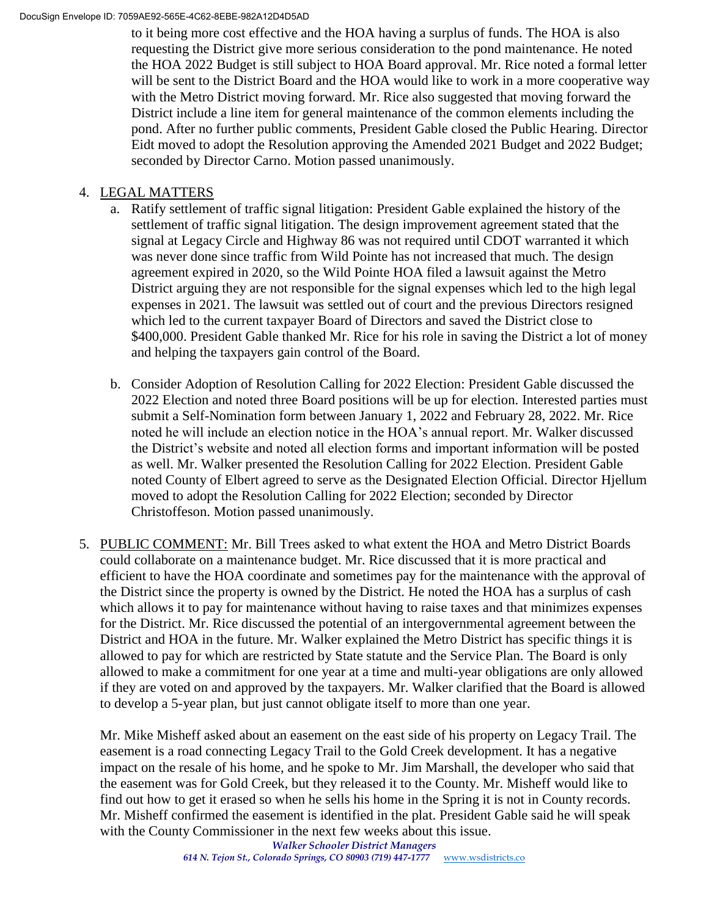#### DocuSign Envelope ID: 7059AE92-565E-4C62-8EBE-982A12D4D5AD

to it being more cost effective and the HOA having a surplus of funds. The HOA is also requesting the District give more serious consideration to the pond maintenance. He noted the HOA 2022 Budget is still subject to HOA Board approval. Mr. Rice noted a formal letter will be sent to the District Board and the HOA would like to work in a more cooperative way with the Metro District moving forward. Mr. Rice also suggested that moving forward the District include a line item for general maintenance of the common elements including the pond. After no further public comments, President Gable closed the Public Hearing. Director Eidt moved to adopt the Resolution approving the Amended 2021 Budget and 2022 Budget; seconded by Director Carno. Motion passed unanimously.

## 4. LEGAL MATTERS

- a. Ratify settlement of traffic signal litigation: President Gable explained the history of the settlement of traffic signal litigation. The design improvement agreement stated that the signal at Legacy Circle and Highway 86 was not required until CDOT warranted it which was never done since traffic from Wild Pointe has not increased that much. The design agreement expired in 2020, so the Wild Pointe HOA filed a lawsuit against the Metro District arguing they are not responsible for the signal expenses which led to the high legal expenses in 2021. The lawsuit was settled out of court and the previous Directors resigned which led to the current taxpayer Board of Directors and saved the District close to \$400,000. President Gable thanked Mr. Rice for his role in saving the District a lot of money and helping the taxpayers gain control of the Board.
- b. Consider Adoption of Resolution Calling for 2022 Election: President Gable discussed the 2022 Election and noted three Board positions will be up for election. Interested parties must submit a Self-Nomination form between January 1, 2022 and February 28, 2022. Mr. Rice noted he will include an election notice in the HOA's annual report. Mr. Walker discussed the District's website and noted all election forms and important information will be posted as well. Mr. Walker presented the Resolution Calling for 2022 Election. President Gable noted County of Elbert agreed to serve as the Designated Election Official. Director Hjellum moved to adopt the Resolution Calling for 2022 Election; seconded by Director Christoffeson. Motion passed unanimously.
- 5. PUBLIC COMMENT: Mr. Bill Trees asked to what extent the HOA and Metro District Boards could collaborate on a maintenance budget. Mr. Rice discussed that it is more practical and efficient to have the HOA coordinate and sometimes pay for the maintenance with the approval of the District since the property is owned by the District. He noted the HOA has a surplus of cash which allows it to pay for maintenance without having to raise taxes and that minimizes expenses for the District. Mr. Rice discussed the potential of an intergovernmental agreement between the District and HOA in the future. Mr. Walker explained the Metro District has specific things it is allowed to pay for which are restricted by State statute and the Service Plan. The Board is only allowed to make a commitment for one year at a time and multi-year obligations are only allowed if they are voted on and approved by the taxpayers. Mr. Walker clarified that the Board is allowed to develop a 5-year plan, but just cannot obligate itself to more than one year.

Mr. Mike Misheff asked about an easement on the east side of his property on Legacy Trail. The easement is a road connecting Legacy Trail to the Gold Creek development. It has a negative impact on the resale of his home, and he spoke to Mr. Jim Marshall, the developer who said that the easement was for Gold Creek, but they released it to the County. Mr. Misheff would like to find out how to get it erased so when he sells his home in the Spring it is not in County records. Mr. Misheff confirmed the easement is identified in the plat. President Gable said he will speak with the County Commissioner in the next few weeks about this issue.